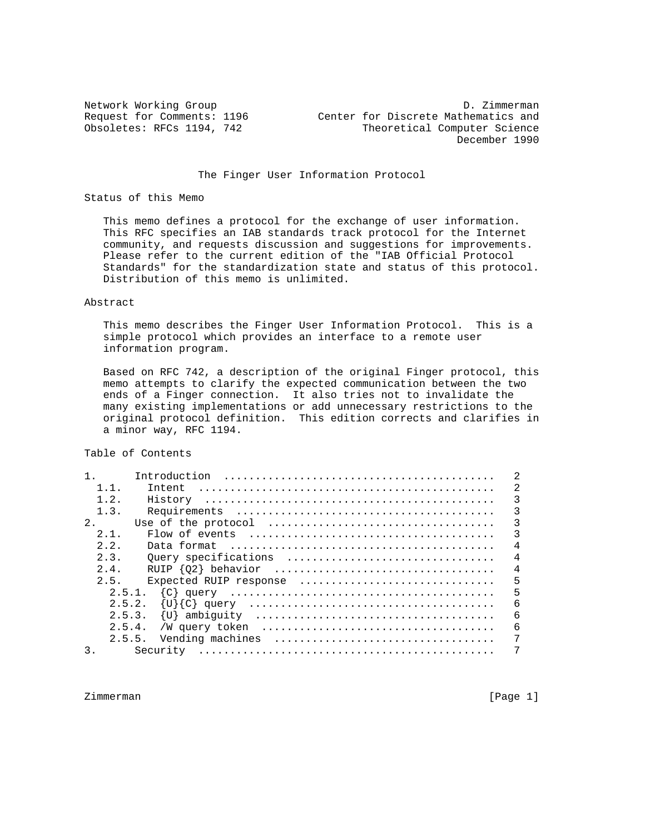The Finger User Information Protocol

### Status of this Memo

 This memo defines a protocol for the exchange of user information. This RFC specifies an IAB standards track protocol for the Internet community, and requests discussion and suggestions for improvements. Please refer to the current edition of the "IAB Official Protocol Standards" for the standardization state and status of this protocol. Distribution of this memo is unlimited.

### Abstract

 This memo describes the Finger User Information Protocol. This is a simple protocol which provides an interface to a remote user information program.

 Based on RFC 742, a description of the original Finger protocol, this memo attempts to clarify the expected communication between the two ends of a Finger connection. It also tries not to invalidate the many existing implementations or add unnecessary restrictions to the original protocol definition. This edition corrects and clarifies in a minor way, RFC 1194.

Table of Contents

|        | Introduction                                                                                 |
|--------|----------------------------------------------------------------------------------------------|
| 1.1.   | 2<br>Intent                                                                                  |
| 1.2.   | 3                                                                                            |
| 1.3.   | 3                                                                                            |
| 2.     | 3<br>Use of the protocol $\dots\dots\dots\dots\dots\dots\dots\dots\dots\dots\dots\dots\dots$ |
| 2.1.   | 3<br>Flow of events $\dots\dots\dots\dots\dots\dots\dots\dots\dots\dots\dots\dots\dots\dots$ |
| 2.2.   | $\overline{4}$                                                                               |
| 2.3.   | $\overline{4}$<br>Ouery specifications                                                       |
| 2.4.   | $\overline{4}$                                                                               |
| 2.5.   | 5<br>Expected RUIP response                                                                  |
| 2.5.1. | 5                                                                                            |
| 2.5.2. | 6                                                                                            |
|        | 6                                                                                            |
|        | 6                                                                                            |
| 2.5.5. | Vending machines                                                                             |
| 3.     |                                                                                              |

Zimmerman [Page 1]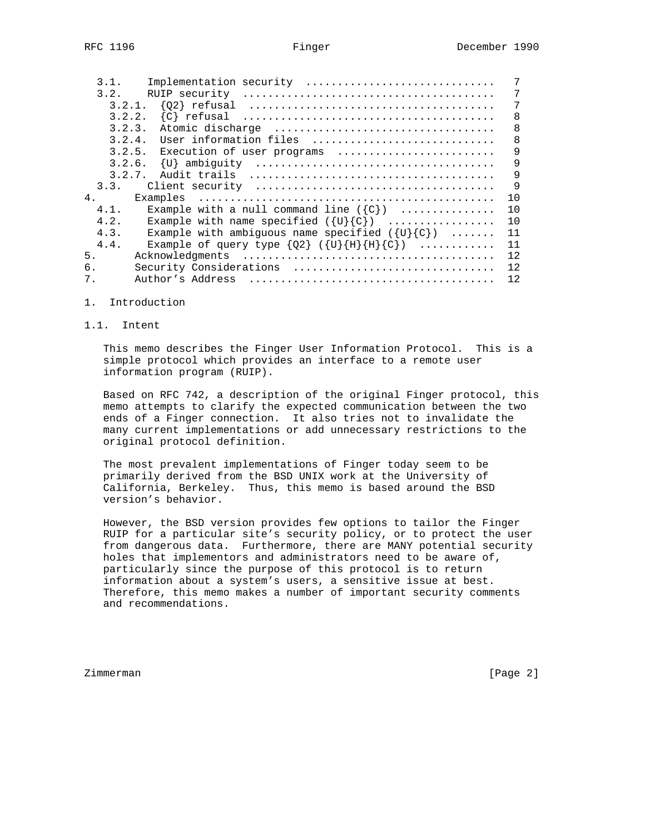| 3.1.    | Implementation security                                                                          |     |
|---------|--------------------------------------------------------------------------------------------------|-----|
| 3.2.    | RUIP security $\dots\dots\dots\dots\dots\dots\dots\dots\dots\dots\dots\dots\dots\dots\dots\dots$ |     |
|         |                                                                                                  | 7   |
|         |                                                                                                  | 8   |
| 3.2.3.  |                                                                                                  | 8   |
| 3.2.4.  | User information files                                                                           | 8   |
|         | 3.2.5. Execution of user programs                                                                | 9   |
|         |                                                                                                  | 9   |
|         |                                                                                                  | 9   |
|         |                                                                                                  | 9   |
| 4.      |                                                                                                  | 10  |
| $4.1$ . | Example with a null command line $({c})$                                                         | 10  |
| 4.2.    | Example with name specified $({U}{C})$                                                           | 10  |
| 4.3.    | Example with ambiguous name specified $({U}{c})$                                                 | 11  |
| 4.4.    | Example of query type $\{Q2\}$ ( $\{U\}\{H\}\{H\}\{C\}$ )                                        | 11  |
| 5.      |                                                                                                  | 12. |
| б.      | Security Considerations                                                                          | 12. |
| 7.      | Author's Address                                                                                 | 12. |

- 1. Introduction
- 1.1. Intent

 This memo describes the Finger User Information Protocol. This is a simple protocol which provides an interface to a remote user information program (RUIP).

 Based on RFC 742, a description of the original Finger protocol, this memo attempts to clarify the expected communication between the two ends of a Finger connection. It also tries not to invalidate the many current implementations or add unnecessary restrictions to the original protocol definition.

 The most prevalent implementations of Finger today seem to be primarily derived from the BSD UNIX work at the University of California, Berkeley. Thus, this memo is based around the BSD version's behavior.

 However, the BSD version provides few options to tailor the Finger RUIP for a particular site's security policy, or to protect the user from dangerous data. Furthermore, there are MANY potential security holes that implementors and administrators need to be aware of, particularly since the purpose of this protocol is to return information about a system's users, a sensitive issue at best. Therefore, this memo makes a number of important security comments and recommendations.

Zimmerman [Page 2]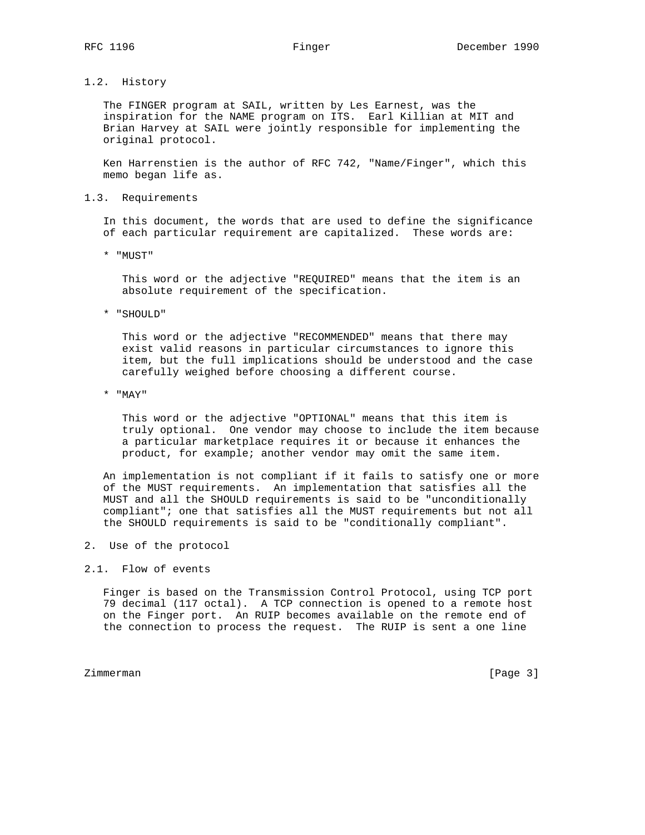# 1.2. History

 The FINGER program at SAIL, written by Les Earnest, was the inspiration for the NAME program on ITS. Earl Killian at MIT and Brian Harvey at SAIL were jointly responsible for implementing the original protocol.

 Ken Harrenstien is the author of RFC 742, "Name/Finger", which this memo began life as.

1.3. Requirements

 In this document, the words that are used to define the significance of each particular requirement are capitalized. These words are:

\* "MUST"

 This word or the adjective "REQUIRED" means that the item is an absolute requirement of the specification.

\* "SHOULD"

 This word or the adjective "RECOMMENDED" means that there may exist valid reasons in particular circumstances to ignore this item, but the full implications should be understood and the case carefully weighed before choosing a different course.

\* "MAY"

 This word or the adjective "OPTIONAL" means that this item is truly optional. One vendor may choose to include the item because a particular marketplace requires it or because it enhances the product, for example; another vendor may omit the same item.

 An implementation is not compliant if it fails to satisfy one or more of the MUST requirements. An implementation that satisfies all the MUST and all the SHOULD requirements is said to be "unconditionally compliant"; one that satisfies all the MUST requirements but not all the SHOULD requirements is said to be "conditionally compliant".

2. Use of the protocol

### 2.1. Flow of events

 Finger is based on the Transmission Control Protocol, using TCP port 79 decimal (117 octal). A TCP connection is opened to a remote host on the Finger port. An RUIP becomes available on the remote end of the connection to process the request. The RUIP is sent a one line

Zimmerman [Page 3]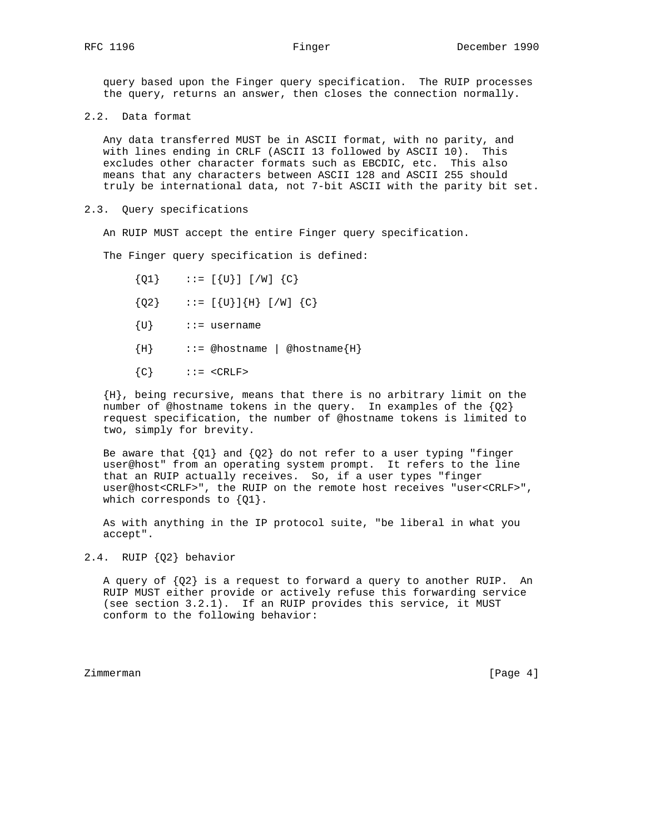query based upon the Finger query specification. The RUIP processes the query, returns an answer, then closes the connection normally.

2.2. Data format

 Any data transferred MUST be in ASCII format, with no parity, and with lines ending in CRLF (ASCII 13 followed by ASCII 10). This excludes other character formats such as EBCDIC, etc. This also means that any characters between ASCII 128 and ASCII 255 should truly be international data, not 7-bit ASCII with the parity bit set.

2.3. Query specifications

An RUIP MUST accept the entire Finger query specification.

The Finger query specification is defined:

- ${Q1}$  ::=  $[{U}] [W] {C}$
- ${Q2}$  ::=  $[{U}]{H} [H]$   $[/W] {C}$
- ${U}$  ::= username
- ${H}$  ::= @hostname | @hostname ${H}$
- ${C}$  ::= <CRLF>

 {H}, being recursive, means that there is no arbitrary limit on the number of @hostname tokens in the query. In examples of the {Q2} request specification, the number of @hostname tokens is limited to two, simply for brevity.

Be aware that  ${Q1}$  and  ${Q2}$  do not refer to a user typing "finger user@host" from an operating system prompt. It refers to the line that an RUIP actually receives. So, if a user types "finger user@host<CRLF>", the RUIP on the remote host receives "user<CRLF>", which corresponds to  ${Q1}$ .

 As with anything in the IP protocol suite, "be liberal in what you accept".

2.4. RUIP {Q2} behavior

A query of  ${Q2}$  is a request to forward a query to another RUIP. An RUIP MUST either provide or actively refuse this forwarding service (see section 3.2.1). If an RUIP provides this service, it MUST conform to the following behavior:

Zimmerman [Page 4]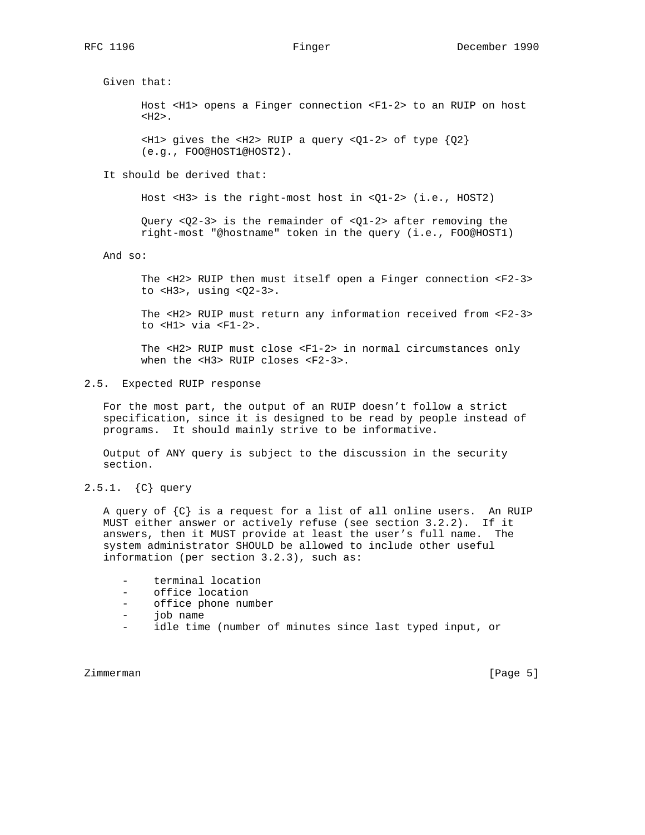Given that:

 Host <H1> opens a Finger connection <F1-2> to an RUIP on host  $<$ H2>.

 $\langle$ H1> gives the  $\langle$ H2> RUIP a query  $\langle$ Q1-2> of type  $\{Q2\}$ (e.g., FOO@HOST1@HOST2).

It should be derived that:

Host <H3> is the right-most host in <Q1-2> (i.e., HOST2)

 Query <Q2-3> is the remainder of <Q1-2> after removing the right-most "@hostname" token in the query (i.e., FOO@HOST1)

And so:

 The <H2> RUIP then must itself open a Finger connection <F2-3> to <H3>, using <Q2-3>.

 The <H2> RUIP must return any information received from <F2-3> to <H1> via <F1-2>.

 The <H2> RUIP must close <F1-2> in normal circumstances only when the <H3> RUIP closes <F2-3>.

## 2.5. Expected RUIP response

 For the most part, the output of an RUIP doesn't follow a strict specification, since it is designed to be read by people instead of programs. It should mainly strive to be informative.

 Output of ANY query is subject to the discussion in the security section.

2.5.1. {C} query

 A query of {C} is a request for a list of all online users. An RUIP MUST either answer or actively refuse (see section 3.2.2). If it answers, then it MUST provide at least the user's full name. The system administrator SHOULD be allowed to include other useful information (per section 3.2.3), such as:

- terminal location
- office location
- office phone number
- job name
- idle time (number of minutes since last typed input, or

Zimmerman [Page 5]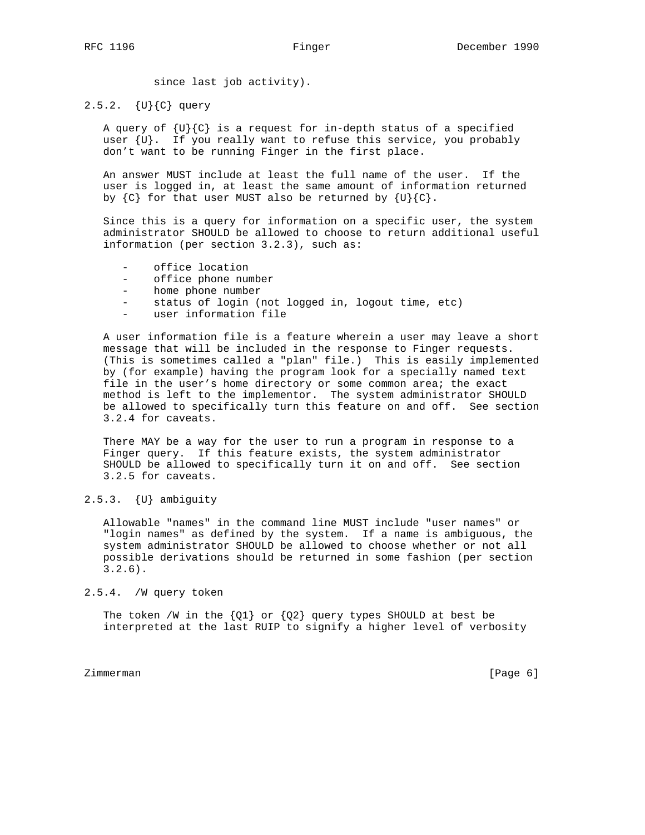since last job activity).

2.5.2. {U}{C} query

A query of  $\{U\}$  (C) is a request for in-depth status of a specified user  $\{U\}$ . If you really want to refuse this service, you probably don't want to be running Finger in the first place.

 An answer MUST include at least the full name of the user. If the user is logged in, at least the same amount of information returned by  ${C}$  for that user MUST also be returned by  ${U}{C}$ .

 Since this is a query for information on a specific user, the system administrator SHOULD be allowed to choose to return additional useful information (per section 3.2.3), such as:

- office location
- office phone number
- home phone number
- status of login (not logged in, logout time, etc)
- user information file

 A user information file is a feature wherein a user may leave a short message that will be included in the response to Finger requests. (This is sometimes called a "plan" file.) This is easily implemented by (for example) having the program look for a specially named text file in the user's home directory or some common area; the exact method is left to the implementor. The system administrator SHOULD be allowed to specifically turn this feature on and off. See section 3.2.4 for caveats.

 There MAY be a way for the user to run a program in response to a Finger query. If this feature exists, the system administrator SHOULD be allowed to specifically turn it on and off. See section 3.2.5 for caveats.

2.5.3. {U} ambiguity

 Allowable "names" in the command line MUST include "user names" or "login names" as defined by the system. If a name is ambiguous, the system administrator SHOULD be allowed to choose whether or not all possible derivations should be returned in some fashion (per section 3.2.6).

2.5.4. /W query token

The token /W in the  ${Q1}$  or  ${Q2}$  query types SHOULD at best be interpreted at the last RUIP to signify a higher level of verbosity

Zimmerman [Page 6]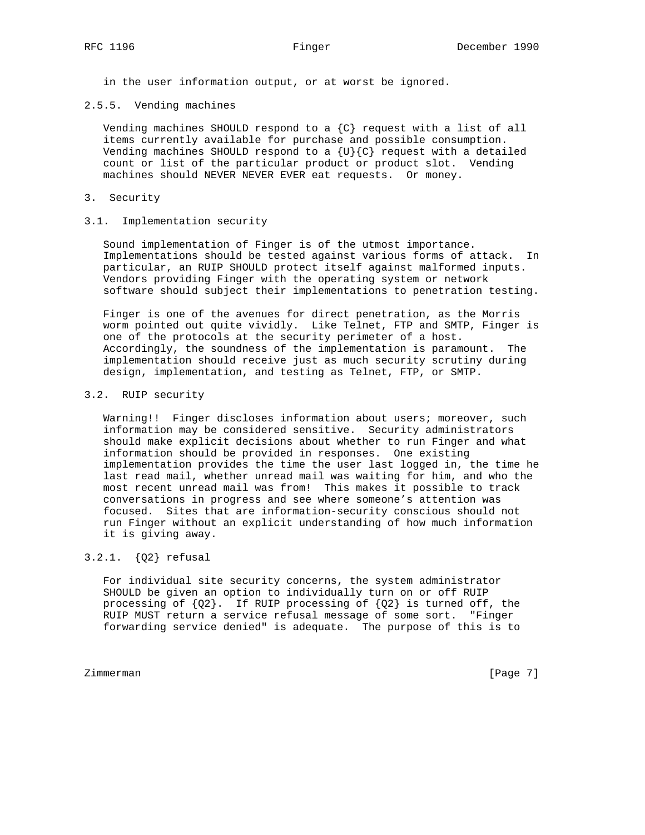in the user information output, or at worst be ignored.

# 2.5.5. Vending machines

Vending machines SHOULD respond to a  $\{C\}$  request with a list of all items currently available for purchase and possible consumption. Vending machines SHOULD respond to a  $\{U\}$  and  $\{C\}$  request with a detailed count or list of the particular product or product slot. Vending machines should NEVER NEVER EVER eat requests. Or money.

### 3. Security

# 3.1. Implementation security

 Sound implementation of Finger is of the utmost importance. Implementations should be tested against various forms of attack. In particular, an RUIP SHOULD protect itself against malformed inputs. Vendors providing Finger with the operating system or network software should subject their implementations to penetration testing.

 Finger is one of the avenues for direct penetration, as the Morris worm pointed out quite vividly. Like Telnet, FTP and SMTP, Finger is one of the protocols at the security perimeter of a host. Accordingly, the soundness of the implementation is paramount. The implementation should receive just as much security scrutiny during design, implementation, and testing as Telnet, FTP, or SMTP.

## 3.2. RUIP security

 Warning!! Finger discloses information about users; moreover, such information may be considered sensitive. Security administrators should make explicit decisions about whether to run Finger and what information should be provided in responses. One existing implementation provides the time the user last logged in, the time he last read mail, whether unread mail was waiting for him, and who the most recent unread mail was from! This makes it possible to track conversations in progress and see where someone's attention was focused. Sites that are information-security conscious should not run Finger without an explicit understanding of how much information it is giving away.

# 3.2.1. {Q2} refusal

 For individual site security concerns, the system administrator SHOULD be given an option to individually turn on or off RUIP processing of  ${Q2}$ . If RUIP processing of  ${Q2}$  is turned off, the RUIP MUST return a service refusal message of some sort. "Finger forwarding service denied" is adequate. The purpose of this is to

Zimmerman [Page 7]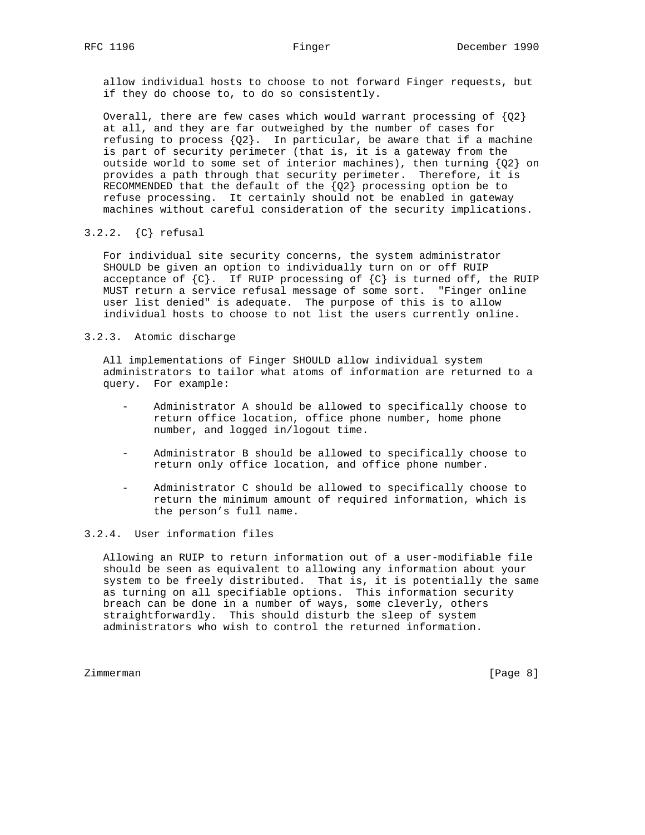allow individual hosts to choose to not forward Finger requests, but if they do choose to, to do so consistently.

Overall, there are few cases which would warrant processing of  ${Q2}$  at all, and they are far outweighed by the number of cases for refusing to process  ${Q2}$ . In particular, be aware that if a machine is part of security perimeter (that is, it is a gateway from the outside world to some set of interior machines), then turning  ${Q2}$  on provides a path through that security perimeter. Therefore, it is RECOMMENDED that the default of the  ${Q2}$  processing option be to refuse processing. It certainly should not be enabled in gateway machines without careful consideration of the security implications.

# 3.2.2. {C} refusal

 For individual site security concerns, the system administrator SHOULD be given an option to individually turn on or off RUIP acceptance of  ${C}$ . If RUIP processing of  ${C}$  is turned off, the RUIP MUST return a service refusal message of some sort. "Finger online user list denied" is adequate. The purpose of this is to allow individual hosts to choose to not list the users currently online.

# 3.2.3. Atomic discharge

 All implementations of Finger SHOULD allow individual system administrators to tailor what atoms of information are returned to a query. For example:

- Administrator A should be allowed to specifically choose to return office location, office phone number, home phone number, and logged in/logout time.
- Administrator B should be allowed to specifically choose to return only office location, and office phone number.
- Administrator C should be allowed to specifically choose to return the minimum amount of required information, which is the person's full name.

# 3.2.4. User information files

 Allowing an RUIP to return information out of a user-modifiable file should be seen as equivalent to allowing any information about your system to be freely distributed. That is, it is potentially the same as turning on all specifiable options. This information security breach can be done in a number of ways, some cleverly, others straightforwardly. This should disturb the sleep of system administrators who wish to control the returned information.

Zimmerman [Page 8]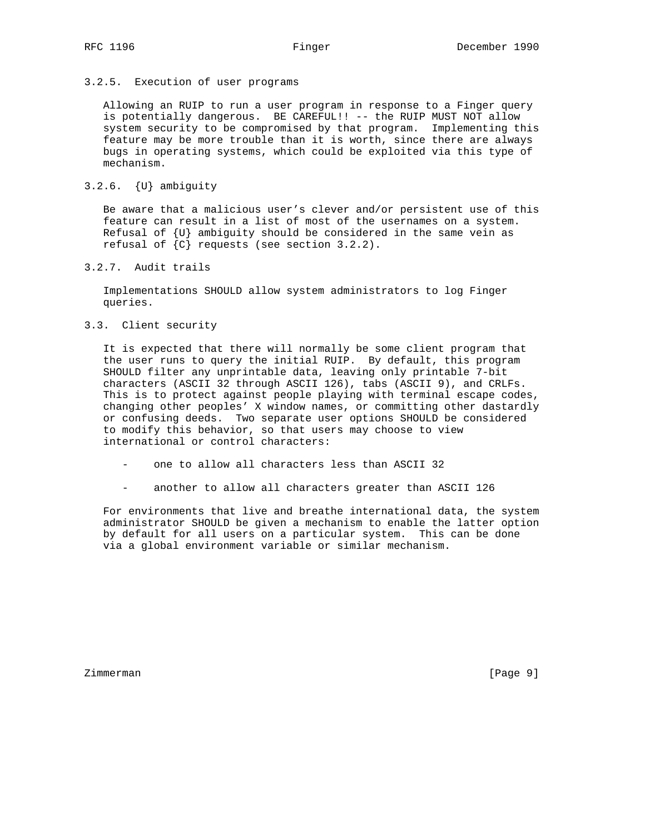## 3.2.5. Execution of user programs

 Allowing an RUIP to run a user program in response to a Finger query is potentially dangerous. BE CAREFUL!! -- the RUIP MUST NOT allow system security to be compromised by that program. Implementing this feature may be more trouble than it is worth, since there are always bugs in operating systems, which could be exploited via this type of mechanism.

# 3.2.6. {U} ambiguity

 Be aware that a malicious user's clever and/or persistent use of this feature can result in a list of most of the usernames on a system. Refusal of  $\{U\}$  ambiguity should be considered in the same vein as refusal of  $\{C\}$  requests (see section 3.2.2).

3.2.7. Audit trails

 Implementations SHOULD allow system administrators to log Finger queries.

3.3. Client security

 It is expected that there will normally be some client program that the user runs to query the initial RUIP. By default, this program SHOULD filter any unprintable data, leaving only printable 7-bit characters (ASCII 32 through ASCII 126), tabs (ASCII 9), and CRLFs. This is to protect against people playing with terminal escape codes, changing other peoples' X window names, or committing other dastardly or confusing deeds. Two separate user options SHOULD be considered to modify this behavior, so that users may choose to view international or control characters:

- one to allow all characters less than ASCII 32
- another to allow all characters greater than ASCII 126

 For environments that live and breathe international data, the system administrator SHOULD be given a mechanism to enable the latter option by default for all users on a particular system. This can be done via a global environment variable or similar mechanism.

Zimmerman [Page 9]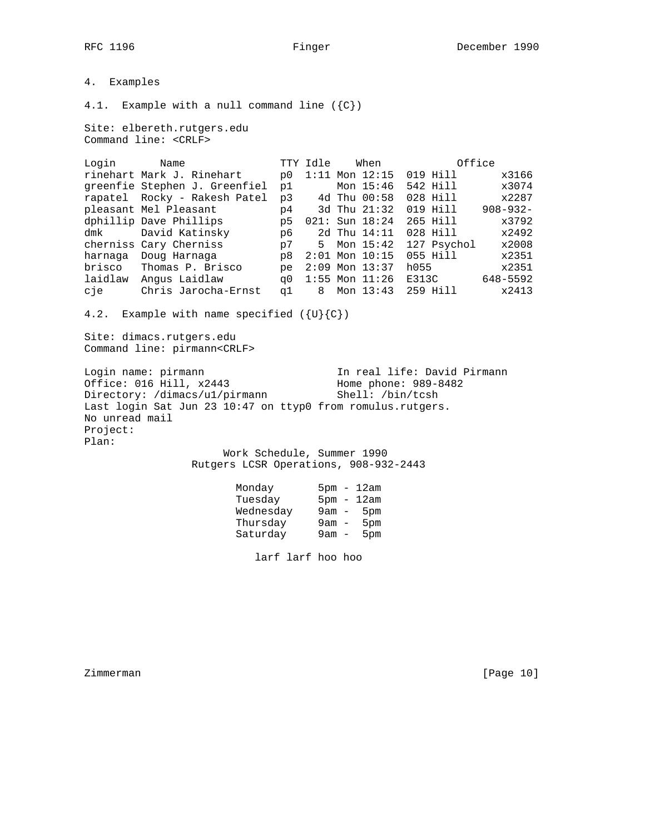4. Examples 4.1. Example with a null command line  $({c})$ Site: elbereth.rutgers.edu Command line: <CRLF> Login Name TTY Idle When Office rinehart Mark J. Rinehart p0 1:11 Mon 12:15 019 Hill x3166 greenfie Stephen J. Greenfiel p1 Mon 15:46 542 Hill x3074 rapatel Rocky - Rakesh Patel p3 4d Thu 00:58 028 Hill x2287 pleasant Mel Pleasant p4 3d Thu 21:32 019 Hill 908-932 dphillip Dave Phillips p5 021: Sun 18:24 265 Hill x3792 dmk David Katinsky p6 2d Thu 14:11 028 Hill x2492 cherniss Cary Cherniss p7 5 Mon 15:42 127 Psychol x2008 harnaga Doug Harnaga p8 2:01 Mon 10:15 055 Hill x2351 brisco Thomas P. Brisco pe 2:09 Mon 13:37 h055 x2351 laidlaw Angus Laidlaw q0 1:55 Mon 11:26 E313C 648-5592 cje Chris Jarocha-Ernst q1 8 Mon 13:43 259 Hill x2413 4.2. Example with name specified  $({U}{c})$ Site: dimacs.rutgers.edu Command line: pirmann<CRLF> Login name: pirmann and In real life: David Pirmann Office: 016 Hill, x2443 Home phone: 989-8482 Directory: /dimacs/u1/pirmann Shell: /bin/tcsh Last login Sat Jun 23 10:47 on ttyp0 from romulus.rutgers. No unread mail Project: Plan: Work Schedule, Summer 1990 Rutgers LCSR Operations, 908-932-2443 Monday 5pm - 12am<br>Tuesday 5pm - 12am Tuesday 5pm - 12am Wednesday 9am - 5pm

larf larf hoo hoo

 Thursday 9am - 5pm Saturday 9am - 5pm

Zimmerman [Page 10]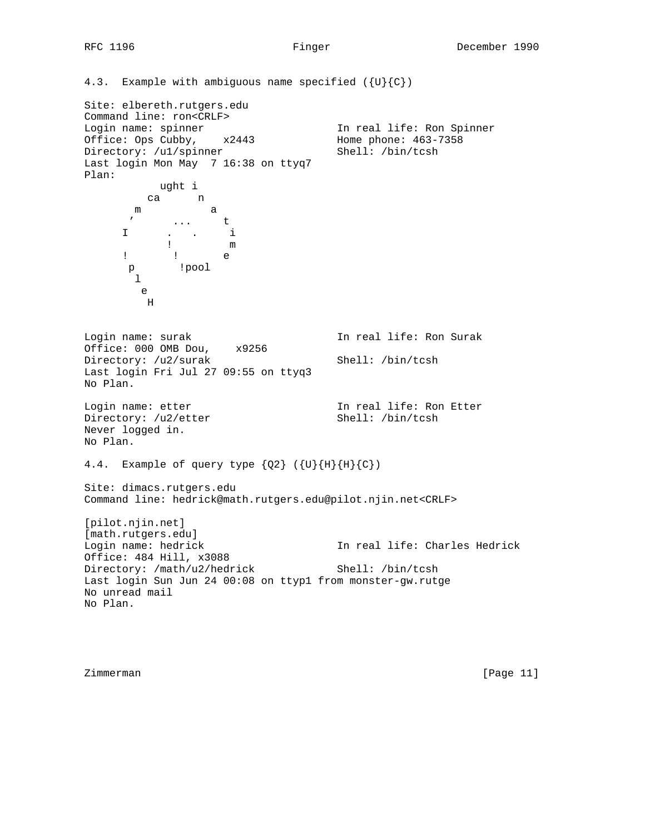4.3. Example with ambiguous name specified  $({U}{c})$ Site: elbereth.rutgers.edu Command line: ron<CRLF><br>Login name: spinner Login name: spinner In real life: Ron Spinner Office: Ops Cubby, x2443 Home phone: 463-7358 Directory: /u1/spinner Shell: /bin/tcsh Last login Mon May 7 16:38 on ttyq7 Plan: ught i ca n m a  $\mathbf{t}$  ... t I . . i ! m ! ! e p !pool l e H Login name: surak In real life: Ron Surak Office: 000 OMB Dou, x9256 Directory: /u2/surak Shell: /bin/tcsh Last login Fri Jul 27 09:55 on ttyq3 No Plan. Login name: etter **In real life:** Ron Etter Directory: /u2/etter Shell: /bin/tcsh Never logged in. No Plan. 4.4. Example of query type  ${Q2}$  ( ${U}{H}{H}{G}$ ) Site: dimacs.rutgers.edu Command line: hedrick@math.rutgers.edu@pilot.njin.net<CRLF> [pilot.njin.net] [math.rutgers.edu]<br>Login name: hedrick In real life: Charles Hedrick Office: 484 Hill, x3088 Directory: /math/u2/hedrick Shell: /bin/tcsh Last login Sun Jun 24 00:08 on ttyp1 from monster-gw.rutge No unread mail No Plan.

Zimmerman [Page 11]